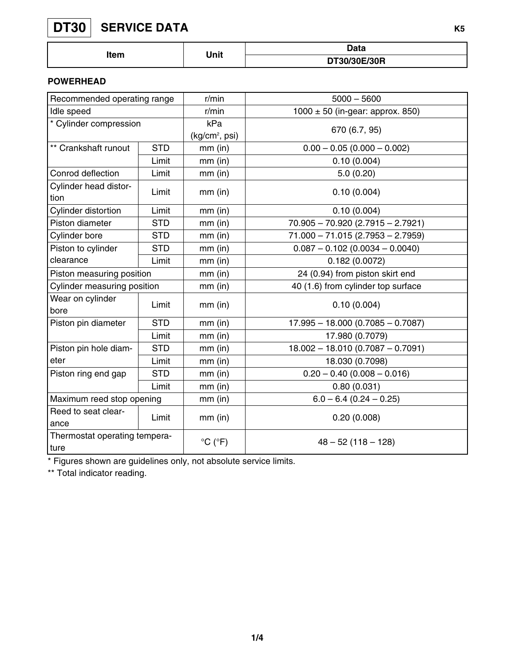# **DT30**

 **SERVICE DATA** K5

| Item | <b>Unit</b> | Data         |  |
|------|-------------|--------------|--|
|      |             | DT30/30E/30R |  |

## **POWERHEAD**

|                                       | Recommended operating range |                                               | $5000 - 5600$                        |  |  |  |
|---------------------------------------|-----------------------------|-----------------------------------------------|--------------------------------------|--|--|--|
| Idle speed                            |                             | r/min                                         | $1000 \pm 50$ (in-gear: approx. 850) |  |  |  |
| * Cylinder compression                |                             | kPa                                           |                                      |  |  |  |
|                                       |                             | (kg/cm <sup>2</sup> , psi)                    | 670 (6.7, 95)                        |  |  |  |
| ** Crankshaft runout                  | <b>STD</b>                  | $mm$ (in)                                     | $0.00 - 0.05(0.000 - 0.002)$         |  |  |  |
|                                       | Limit                       | $mm$ (in)                                     | 0.10(0.004)                          |  |  |  |
| Conrod deflection                     | Limit                       | $mm$ (in)                                     | 5.0(0.20)                            |  |  |  |
| Cylinder head distor-<br>tion         | Limit                       | $mm$ (in)                                     | 0.10(0.004)                          |  |  |  |
| Cylinder distortion                   | Limit                       | $mm$ (in)                                     | 0.10(0.004)                          |  |  |  |
| Piston diameter                       | <b>STD</b>                  | $mm$ (in)                                     | 70.905 - 70.920 (2.7915 - 2.7921)    |  |  |  |
| Cylinder bore                         | <b>STD</b>                  | $mm$ (in)                                     | $71.000 - 71.015(2.7953 - 2.7959)$   |  |  |  |
| Piston to cylinder                    | <b>STD</b>                  | $mm$ (in)                                     | $0.087 - 0.102 (0.0034 - 0.0040)$    |  |  |  |
| clearance                             | Limit                       |                                               | 0.182(0.0072)                        |  |  |  |
|                                       | Piston measuring position   |                                               | 24 (0.94) from piston skirt end      |  |  |  |
| Cylinder measuring position           |                             | $mm$ (in)                                     | 40 (1.6) from cylinder top surface   |  |  |  |
| Wear on cylinder<br>bore              | Limit                       | $mm$ (in)                                     | 0.10(0.004)                          |  |  |  |
| Piston pin diameter                   | <b>STD</b>                  | $mm$ (in)                                     | $17.995 - 18.000 (0.7085 - 0.7087)$  |  |  |  |
|                                       | Limit                       | $mm$ (in)                                     | 17.980 (0.7079)                      |  |  |  |
| Piston pin hole diam-                 | <b>STD</b>                  | $mm$ (in)                                     | $18.002 - 18.010(0.7087 - 0.7091)$   |  |  |  |
| eter                                  | Limit                       | $mm$ (in)                                     | 18.030 (0.7098)                      |  |  |  |
| Piston ring end gap                   | <b>STD</b>                  | $mm$ (in)                                     | $0.20 - 0.40$ (0.008 - 0.016)        |  |  |  |
|                                       | Limit                       | $mm$ (in)                                     | 0.80(0.031)                          |  |  |  |
| Maximum reed stop opening             |                             | $mm$ (in)                                     | $6.0 - 6.4$ (0.24 - 0.25)            |  |  |  |
| Reed to seat clear-                   |                             | $mm$ (in)                                     |                                      |  |  |  |
| ance                                  | Limit                       |                                               | 0.20(0.008)                          |  |  |  |
| Thermostat operating tempera-<br>ture |                             | $\mathrm{^{\circ}C}$ ( $\mathrm{^{\circ}F}$ ) | $48 - 52(118 - 128)$                 |  |  |  |

\* Figures shown are guidelines only, not absolute service limits.

\*\* Total indicator reading.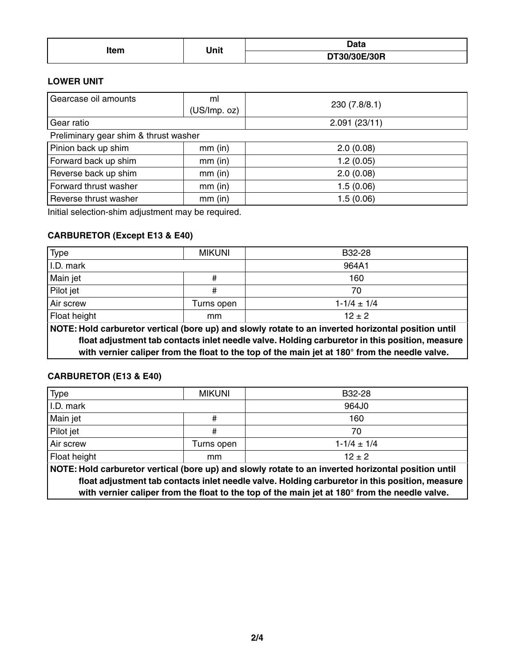| tam<br>ווסוו | <b>Les 24</b><br>лш | <b>Data</b>  |  |  |
|--------------|---------------------|--------------|--|--|
|              |                     | DT30/30E/30R |  |  |

#### **LOWER UNIT**

| Gearcase oil amounts                  | ml<br>(US/Imp. oz) | 230 (7.8/8.1) |  |  |
|---------------------------------------|--------------------|---------------|--|--|
| Gear ratio                            |                    | 2.091(23/11)  |  |  |
| Preliminary gear shim & thrust washer |                    |               |  |  |
| Pinion back up shim                   | $mm$ (in)          | 2.0(0.08)     |  |  |
| Forward back up shim                  | $mm$ (in)          | 1.2(0.05)     |  |  |
| Reverse back up shim                  | $mm$ (in)          | 2.0(0.08)     |  |  |
| Forward thrust washer                 | $mm$ (in)          | 1.5(0.06)     |  |  |
| Reverse thrust washer                 | $mm$ (in)          | 1.5(0.06)     |  |  |

Initial selection-shim adjustment may be required.

### **CARBURETOR (Except E13 & E40)**

| Type                                                                                                                      | <b>MIKUNI</b>                                                                                                   | B32-28            |  |  |  |  |  |
|---------------------------------------------------------------------------------------------------------------------------|-----------------------------------------------------------------------------------------------------------------|-------------------|--|--|--|--|--|
| I.D. mark                                                                                                                 |                                                                                                                 | 964A1             |  |  |  |  |  |
| Main jet                                                                                                                  | #                                                                                                               | 160               |  |  |  |  |  |
| Pilot jet                                                                                                                 | #                                                                                                               | 70                |  |  |  |  |  |
| Air screw                                                                                                                 | Turns open                                                                                                      | $1 - 1/4 \pm 1/4$ |  |  |  |  |  |
| Float height                                                                                                              | mm                                                                                                              | $12 \pm 2$        |  |  |  |  |  |
| -- - -<br>the contract of the contract of the contract of the contract of the contract of the contract of the contract of | and the state of the state of the state of the state of the state of the state of the state of the state of the | .<br>---          |  |  |  |  |  |

**NOTE: Hold carburetor vertical (bore up) and slowly rotate to an inverted horizontal position until float adjustment tab contacts inlet needle valve. Holding carburetor in this position, measure with vernier caliper from the float to the top of the main jet at 180° from the needle valve.**

## **CARBURETOR (E13 & E40)**

| <b>Type</b>                                                                                                                                                                                                                                                                                            | <b>MIKUNI</b> | B32-28            |  |  |  |
|--------------------------------------------------------------------------------------------------------------------------------------------------------------------------------------------------------------------------------------------------------------------------------------------------------|---------------|-------------------|--|--|--|
| I.D. mark                                                                                                                                                                                                                                                                                              |               | 964J0             |  |  |  |
| Main jet<br>#                                                                                                                                                                                                                                                                                          |               | 160               |  |  |  |
| Pilot jet                                                                                                                                                                                                                                                                                              | #             | 70                |  |  |  |
| Air screw                                                                                                                                                                                                                                                                                              | Turns open    | $1 - 1/4 \pm 1/4$ |  |  |  |
| Float height                                                                                                                                                                                                                                                                                           | mm            | $12 + 2$          |  |  |  |
| NOTE: Hold carburetor vertical (bore up) and slowly rotate to an inverted horizontal position until<br>float adjustment tab contacts inlet needle valve. Holding carburetor in this position, measure<br>with vernier caliper from the float to the top of the main jet at 180° from the needle valve. |               |                   |  |  |  |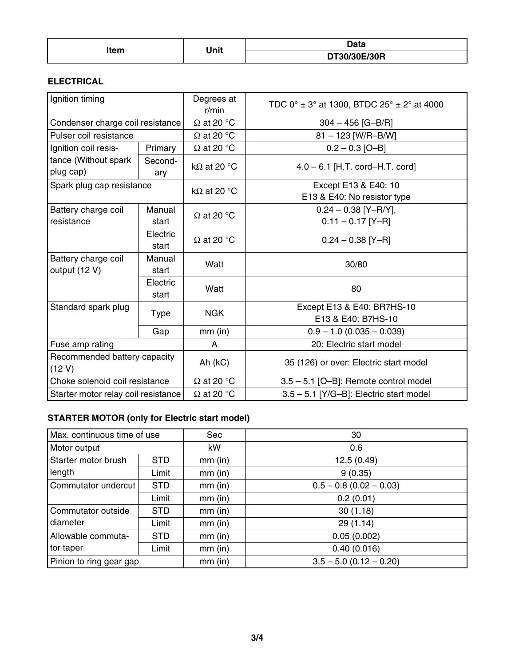| ltem<br>___ | Unit | <b>Data</b>  |  |  |
|-------------|------|--------------|--|--|
|             |      | DT30/30E/30R |  |  |

### **ELECTRICAL**

| Ignition timing                                          |                                  | Degrees at<br>r/min                     | TDC $0^{\circ}$ ± 3° at 1300, BTDC 25° ± 2° at 4000 |  |
|----------------------------------------------------------|----------------------------------|-----------------------------------------|-----------------------------------------------------|--|
|                                                          | Condenser charge coil resistance |                                         | $304 - 456$ [G-B/R]                                 |  |
| Pulser coil resistance                                   |                                  | $\Omega$ at 20 °C<br>$\Omega$ at 20 °C  | 81 - 123 [W/R-B/W]                                  |  |
| Ignition coil resis-                                     | Primary                          | $\Omega$ at 20 °C                       | $0.2 - 0.3$ [O-B]                                   |  |
| tance (Without spark<br>plug cap)                        | Second-<br>ary                   | k $\Omega$ at 20 °C                     | $4.0 - 6.1$ [H.T. cord-H.T. cord]                   |  |
| Spark plug cap resistance                                |                                  | k $\Omega$ at 20 °C                     | Except E13 & E40: 10                                |  |
|                                                          |                                  |                                         | E13 & E40: No resistor type                         |  |
| Battery charge coil                                      | Manual                           | $\Omega$ at 20 °C                       | $0.24 - 0.38$ [Y-R/Y],                              |  |
| resistance                                               | start                            |                                         | $0.11 - 0.17$ [Y-R]                                 |  |
|                                                          | Electric<br>start                | $\Omega$ at 20 °C                       | $0.24 - 0.38$ [Y-R]                                 |  |
| Battery charge coil<br>output (12 V)                     | Manual<br>start                  | Watt                                    | 30/80                                               |  |
|                                                          | Electric<br>start                | Watt                                    | 80                                                  |  |
| Standard spark plug                                      |                                  |                                         | Except E13 & E40: BR7HS-10                          |  |
|                                                          | <b>Type</b>                      | <b>NGK</b>                              | E13 & E40: B7HS-10                                  |  |
|                                                          | Gap                              | $mm$ (in)                               | $0.9 - 1.0$ (0.035 $- 0.039$ )                      |  |
| Fuse amp rating                                          |                                  | A                                       | 20: Electric start model                            |  |
| Recommended battery capacity<br>(12 V)                   |                                  | Ah (kC)                                 | 35 (126) or over: Electric start model              |  |
| Choke solenoid coil resistance                           |                                  | $\Omega$ at 20 °C                       | 3.5 - 5.1 [O-B]: Remote control model               |  |
| $\Omega$ at 20 °C<br>Starter motor relay coil resistance |                                  | 3.5 - 5.1 [Y/G-B]: Electric start model |                                                     |  |

# **STARTER MOTOR (only for Electric start model)**

| Max. continuous time of use |            | <b>Sec</b> | 30                           |
|-----------------------------|------------|------------|------------------------------|
| Motor output                |            | kW         | 0.6                          |
| Starter motor brush         | <b>STD</b> | $mm$ (in)  | 12.5 (0.49)                  |
| length                      | Limit      | $mm$ (in)  | 9(0.35)                      |
| Commutator undercut         | <b>STD</b> | $mm$ (in)  | $0.5 - 0.8$ (0.02 $- 0.03$ ) |
|                             | Limit      | $mm$ (in)  | 0.2(0.01)                    |
| Commutator outside          | <b>STD</b> | $mm$ (in)  | 30(1.18)                     |
| diameter                    | Limit      | $mm$ (in)  | 29(1.14)                     |
| Allowable commuta-          | <b>STD</b> | $mm$ (in)  | 0.05(0.002)                  |
| tor taper                   | Limit      | $mm$ (in)  | 0.40(0.016)                  |
| Pinion to ring gear gap     |            | $mm$ (in)  | $3.5 - 5.0$ (0.12 - 0.20)    |